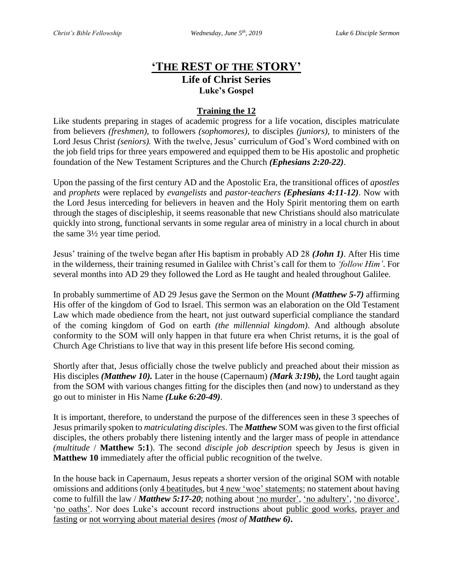## **'THE REST OF THE STORY' Life of Christ Series Luke's Gospel**

## **Training the 12**

Like students preparing in stages of academic progress for a life vocation, disciples matriculate from believers *(freshmen),* to followers *(sophomores)*, to disciples *(juniors)*, to ministers of the Lord Jesus Christ *(seniors).* With the twelve, Jesus' curriculum of God's Word combined with on the job field trips for three years empowered and equipped them to be His apostolic and prophetic foundation of the New Testament Scriptures and the Church *(Ephesians 2:20-22)*.

Upon the passing of the first century AD and the Apostolic Era*,* the transitional offices of *apostles* and *prophets* were replaced by *evangelists* and *pastor-teachers (Ephesians 4:11-12)*. Now with the Lord Jesus interceding for believers in heaven and the Holy Spirit mentoring them on earth through the stages of discipleship, it seems reasonable that new Christians should also matriculate quickly into strong, functional servants in some regular area of ministry in a local church in about the same 3½ year time period.

Jesus' training of the twelve began after His baptism in probably AD 28 *(John 1)*. After His time in the wilderness, their training resumed in Galilee with Christ's call for them to *'follow Him'*. For several months into AD 29 they followed the Lord as He taught and healed throughout Galilee.

In probably summertime of AD 29 Jesus gave the Sermon on the Mount *(Matthew 5-7)* affirming His offer of the kingdom of God to Israel. This sermon was an elaboration on the Old Testament Law which made obedience from the heart, not just outward superficial compliance the standard of the coming kingdom of God on earth *(the millennial kingdom)*. And although absolute conformity to the SOM will only happen in that future era when Christ returns, it is the goal of Church Age Christians to live that way in this present life before His second coming.

Shortly after that, Jesus officially chose the twelve publicly and preached about their mission as His disciples *(Matthew 10).* Later in the house (Capernaum) *(Mark 3:19b),* the Lord taught again from the SOM with various changes fitting for the disciples then (and now) to understand as they go out to minister in His Name *(Luke 6:20-49)*.

It is important, therefore, to understand the purpose of the differences seen in these 3 speeches of Jesus primarily spoken to *matriculating disciples*. The *Matthew* SOM was given to the first official disciples, the others probably there listening intently and the larger mass of people in attendance *(multitude* / **Matthew 5:1**). The second *disciple job description* speech by Jesus is given in **Matthew 10** immediately after the official public recognition of the twelve.

In the house back in Capernaum, Jesus repeats a shorter version of the original SOM with notable omissions and additions (only 4 beatitudes, but 4 new 'woe' statements; no statement about having come to fulfill the law / *Matthew 5:17-20*; nothing about 'no murder', 'no adultery', 'no divorce', 'no oaths'. Nor does Luke's account record instructions about public good works, prayer and fasting or not worrying about material desires *(most of Matthew 6)***.**